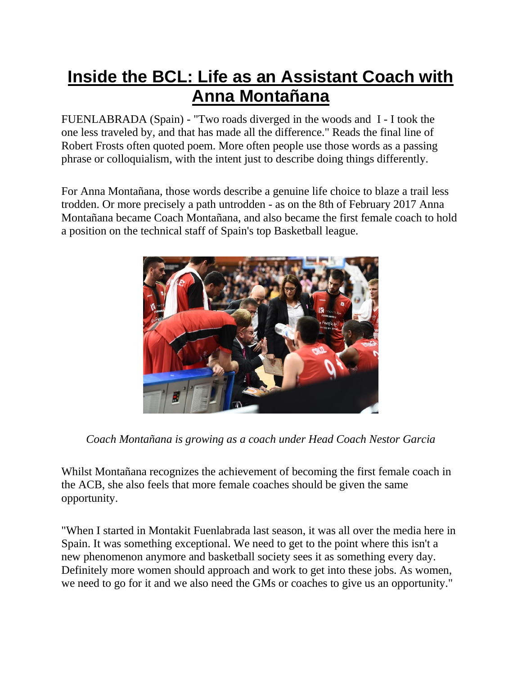## **Inside the BCL: Life as an Assistant Coach with Anna Montañana**

FUENLABRADA (Spain) - "Two roads diverged in the woods and I - I took the one less traveled by, and that has made all the difference." Reads the final line of Robert Frosts often quoted poem. More often people use those words as a passing phrase or colloquialism, with the intent just to describe doing things differently.

For Anna Montañana, those words describe a genuine life choice to blaze a trail less trodden. Or more precisely a path untrodden - as on the 8th of February 2017 Anna Montañana became Coach Montañana, and also became the first female coach to hold a position on the technical staff of Spain's top Basketball league.



*Coach Montañana is growing as a coach under Head Coach Nestor Garcia*

Whilst Montañana recognizes the achievement of becoming the first female coach in the ACB, she also feels that more female coaches should be given the same opportunity.

"When I started in Montakit Fuenlabrada last season, it was all over the media here in Spain. It was something exceptional. We need to get to the point where this isn't a new phenomenon anymore and basketball society sees it as something every day. Definitely more women should approach and work to get into these jobs. As women, we need to go for it and we also need the GMs or coaches to give us an opportunity."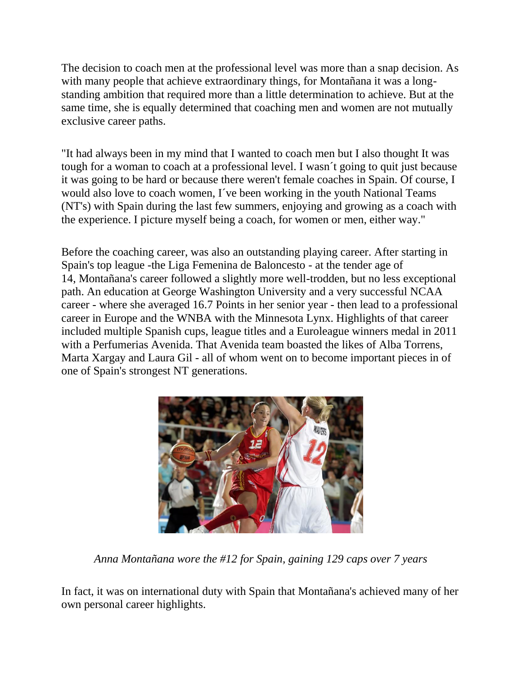The decision to coach men at the professional level was more than a snap decision. As with many people that achieve extraordinary things, for Montañana it was a longstanding ambition that required more than a little determination to achieve. But at the same time, she is equally determined that coaching men and women are not mutually exclusive career paths.

"It had always been in my mind that I wanted to coach men but I also thought It was tough for a woman to coach at a professional level. I wasn´t going to quit just because it was going to be hard or because there weren't female coaches in Spain. Of course, I would also love to coach women, I´ve been working in the youth National Teams (NT's) with Spain during the last few summers, enjoying and growing as a coach with the experience. I picture myself being a coach, for women or men, either way."

Before the coaching career, was also an outstanding playing career. After starting in Spain's top league -the Liga Femenina de Baloncesto - at the tender age of 14, Montañana's career followed a slightly more well-trodden, but no less exceptional path. An education at George Washington University and a very successful NCAA career - where she averaged 16.7 Points in her senior year - then lead to a professional career in Europe and the WNBA with the Minnesota Lynx. Highlights of that career included multiple Spanish cups, league titles and a Euroleague winners medal in 2011 with a Perfumerias Avenida. That Avenida team boasted the likes of Alba Torrens, Marta Xargay and Laura Gil - all of whom went on to become important pieces in of one of Spain's strongest NT generations.



*Anna Montañana wore the #12 for Spain, gaining 129 caps over 7 years*

In fact, it was on international duty with Spain that Montañana's achieved many of her own personal career highlights.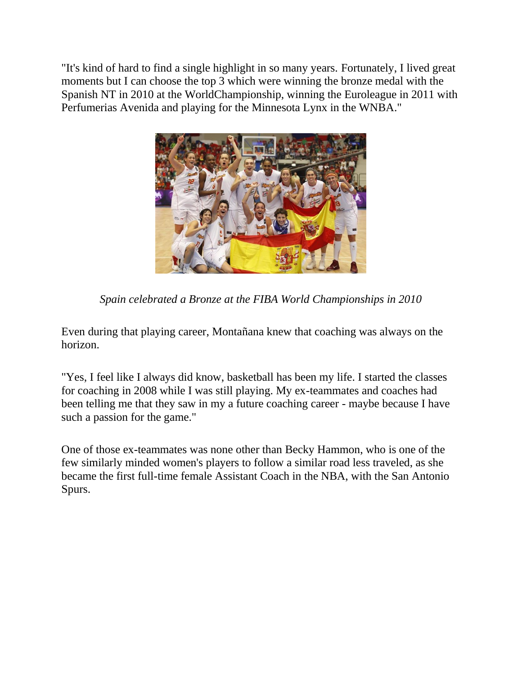"It's kind of hard to find a single highlight in so many years. Fortunately, I lived great moments but I can choose the top 3 which were winning the bronze medal with the Spanish NT in 2010 at the WorldChampionship, winning the Euroleague in 2011 with Perfumerias Avenida and playing for the Minnesota Lynx in the WNBA."



*Spain celebrated a Bronze at the FIBA World Championships in 2010*

Even during that playing career, Montañana knew that coaching was always on the horizon.

"Yes, I feel like I always did know, basketball has been my life. I started the classes for coaching in 2008 while I was still playing. My ex-teammates and coaches had been telling me that they saw in my a future coaching career - maybe because I have such a passion for the game."

One of those ex-teammates was none other than Becky Hammon, who is one of the few similarly minded women's players to follow a similar road less traveled, as she became the first full-time female Assistant Coach in the NBA, with the San Antonio Spurs.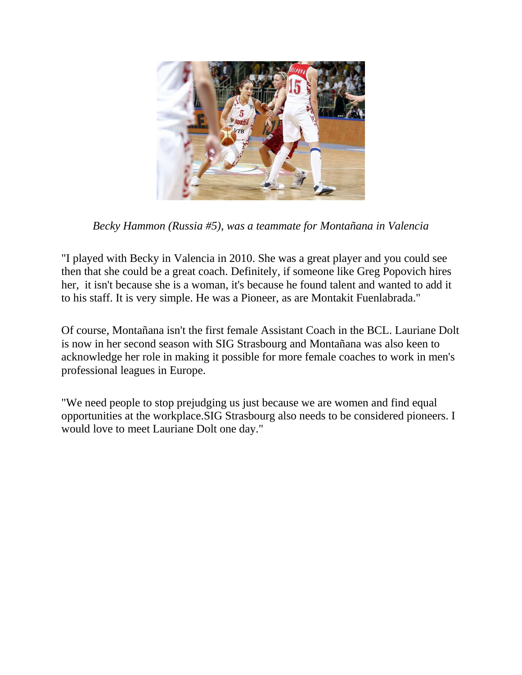

*Becky Hammon (Russia #5), was a teammate for Montañana in Valencia*

"I played with Becky in Valencia in 2010. She was a great player and you could see then that she could be a great coach. Definitely, if someone like Greg Popovich hires her, it isn't because she is a woman, it's because he found talent and wanted to add it to his staff. It is very simple. He was a Pioneer, as are Montakit Fuenlabrada."

Of course, Montañana isn't the first female Assistant Coach in the BCL. Lauriane Dolt is now in her second season with SIG Strasbourg and Montañana was also keen to acknowledge her role in making it possible for more female coaches to work in men's professional leagues in Europe.

"We need people to stop prejudging us just because we are women and find equal opportunities at the workplace.SIG Strasbourg also needs to be considered pioneers. I would love to meet Lauriane Dolt one day."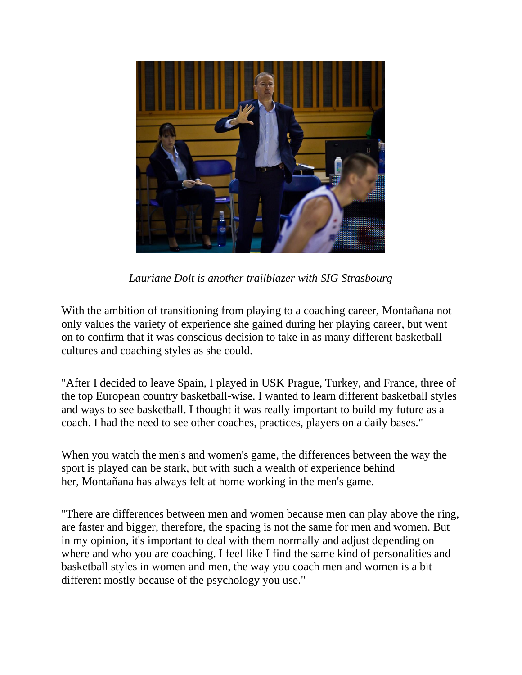

*Lauriane Dolt is another trailblazer with SIG Strasbourg*

With the ambition of transitioning from playing to a coaching career, Montañana not only values the variety of experience she gained during her playing career, but went on to confirm that it was conscious decision to take in as many different basketball cultures and coaching styles as she could.

"After I decided to leave Spain, I played in USK Prague, Turkey, and France, three of the top European country basketball-wise. I wanted to learn different basketball styles and ways to see basketball. I thought it was really important to build my future as a coach. I had the need to see other coaches, practices, players on a daily bases."

When you watch the men's and women's game, the differences between the way the sport is played can be stark, but with such a wealth of experience behind her, Montañana has always felt at home working in the men's game.

"There are differences between men and women because men can play above the ring, are faster and bigger, therefore, the spacing is not the same for men and women. But in my opinion, it's important to deal with them normally and adjust depending on where and who you are coaching. I feel like I find the same kind of personalities and basketball styles in women and men, the way you coach men and women is a bit different mostly because of the psychology you use."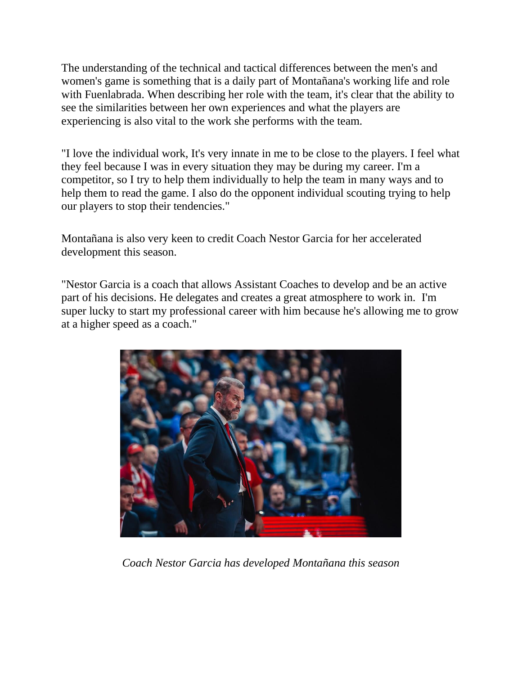The understanding of the technical and tactical differences between the men's and women's game is something that is a daily part of Montañana's working life and role with Fuenlabrada. When describing her role with the team, it's clear that the ability to see the similarities between her own experiences and what the players are experiencing is also vital to the work she performs with the team.

"I love the individual work, It's very innate in me to be close to the players. I feel what they feel because I was in every situation they may be during my career. I'm a competitor, so I try to help them individually to help the team in many ways and to help them to read the game. I also do the opponent individual scouting trying to help our players to stop their tendencies."

Montañana is also very keen to credit Coach Nestor Garcia for her accelerated development this season.

"Nestor Garcia is a coach that allows Assistant Coaches to develop and be an active part of his decisions. He delegates and creates a great atmosphere to work in. I'm super lucky to start my professional career with him because he's allowing me to grow at a higher speed as a coach."



*Coach Nestor Garcia has developed Montañana this season*